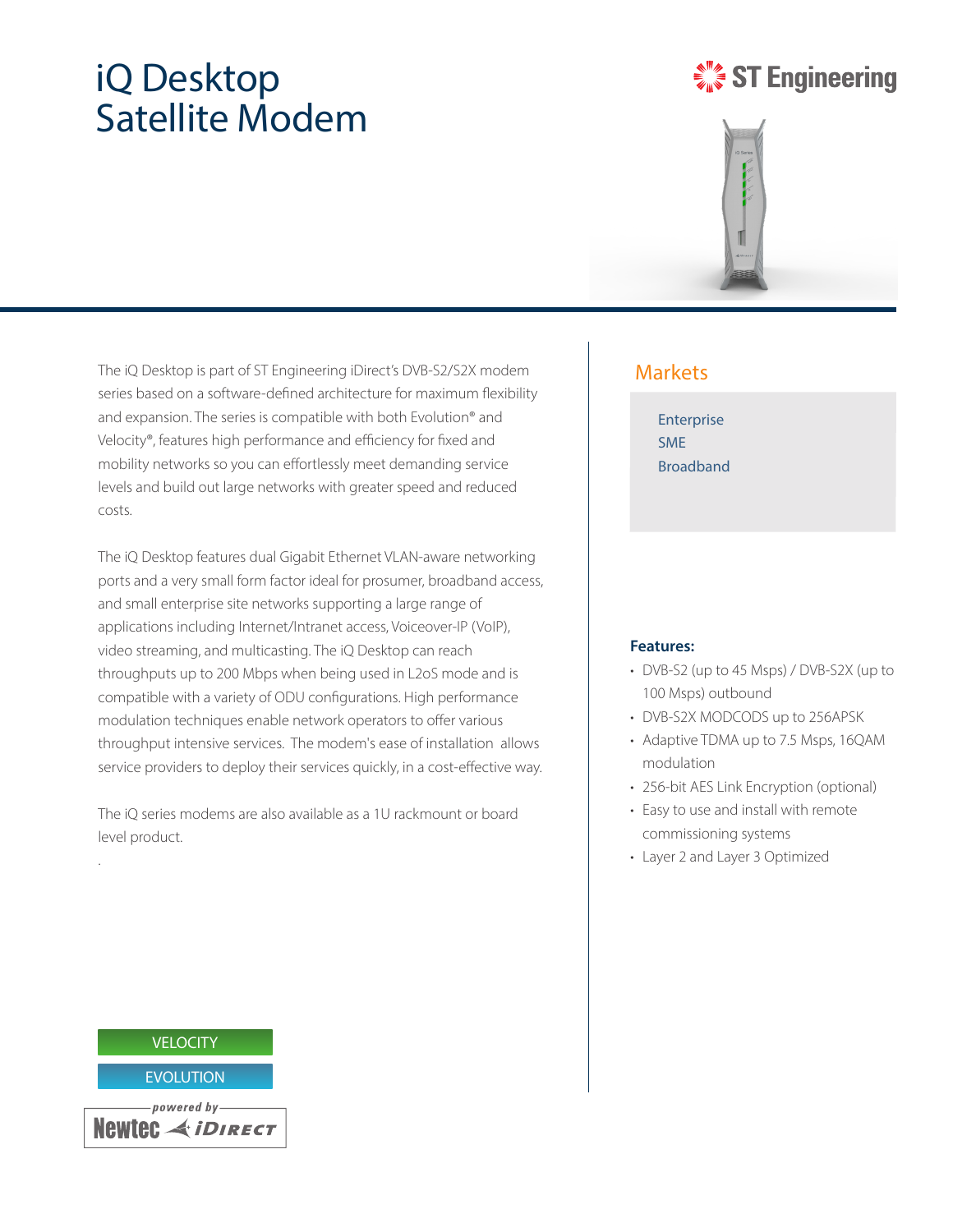# iQ Desktop Satellite Modem

# **ST Engineering**



The iQ Desktop is part of ST Engineering iDirect's DVB-S2/S2X modem series based on a software-defined architecture for maximum flexibility and expansion. The series is compatible with both Evolution® and Velocity®, features high performance and efficiency for fixed and mobility networks so you can effortlessly meet demanding service levels and build out large networks with greater speed and reduced costs.

The iQ Desktop features dual Gigabit Ethernet VLAN-aware networking ports and a very small form factor ideal for prosumer, broadband access, and small enterprise site networks supporting a large range of applications including Internet/Intranet access, Voiceover-IP (VoIP), video streaming, and multicasting. The iQ Desktop can reach throughputs up to 200 Mbps when being used in L2oS mode and is compatible with a variety of ODU configurations. High performance modulation techniques enable network operators to offer various throughput intensive services. The modem's ease of installation allows service providers to deploy their services quickly, in a cost-effective way.

The iQ series modems are also available as a 1U rackmount or board level product.

### Markets

Enterprise SME Broadband

### **Features:**

- DVB-S2 (up to 45 Msps) / DVB-S2X (up to 100 Msps) outbound
- DVB-S2X MODCODS up to 256APSK
- Adaptive TDMA up to 7.5 Msps, 16QAM modulation
- 256-bit AES Link Encryption (optional)
- Easy to use and install with remote commissioning systems
- Layer 2 and Layer 3 Optimized



.